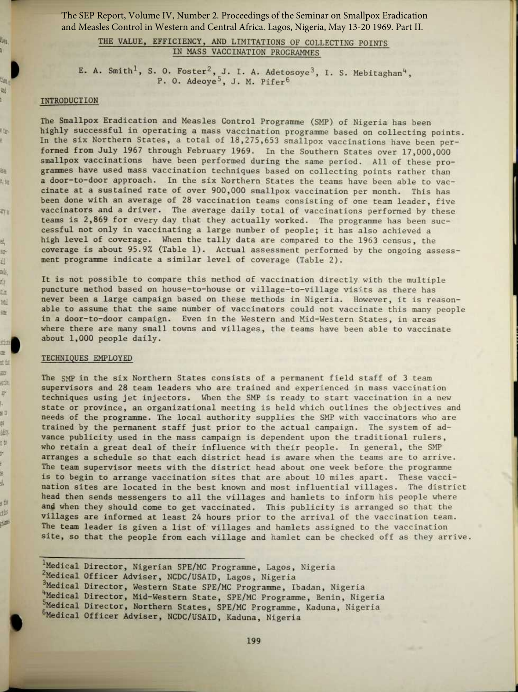The SEP Report, Volume IV, Number 2. Proceedings of the Seminar on Smallpox Eradication and Measles Control in Western and Central Africa. Lagos, Nigeria, May 13-20 1969. Part II.

# THE VALUE, EFFICIENCY, AND LIMITATIONS OF COLLECTING POINTS IN MASS VACCINATION PROGRAMMES

E. A. Smith<sup>1</sup>, S. O. Foster<sup>2</sup>, J. I. A. Adetosoye<sup>3</sup>, I. S. Mebitaghan<sup>4</sup>, P. O. Adeoye<sup>5</sup>, J. M. Pifer<sup>6</sup>

#### INTRODUCTION

lies. g,

tim. ai. ł

t ta-

甜 科相

可以

結. n. 出 æk, rly. dia. btil 旌

拉生 æ 式包 10 stite 旷 ı. e ti 萨 趣 tw t, E) g. đ, s til ction IF 1

The Smallpox Eradication and Measles Control Programme (SMP) of Nigeria has been highly successful in operating a mass vaccination programme based on collecting points. In the six Northern States, a total of 18,275,653 smallpox vaccinations have been performed from July 1967 through February 1969. In the Southern States over 17,000,000 smallpox vaccinations have been performed during the same period. All of these programmes have used mass vaccination techniques based on collecting points rather than a door-to-door approach. In the six Northern States the teams have been able to vaccinate at a sustained rate of over 900,000 smallpox vaccination per month. This has been done with an average of 28 vaccination teams consisting of one team leader, five vaccinators and a driver. The average daily total of vaccinations performed by these teams is 2,869 for every day that they actually worked. The programme has been successful not only in vaccinating a large number of people; it has also achieved a high level of coverage. When the tally data are compared to the 1963 census, the coverage is about 95 .9% (Table 1) . Actual assessment performed by the ongoing assessment programme indicate a similar level of coverage (Table 2).

It is not possible to compare this method of vaccination directly with the multiple puncture method based on house-to-house or village-to-village visits as there has never been a large campaign based on these methods in Nigeria. However, it is reasonable to assume that the same number of vaccinators could not vaccinate this many people in a door-to-door campaign. Even in the Western and Mid-Western States, in areas where there are many small towns and villages, the teams have been able to vaccinate about 1,000 people daily.

### TECHNIQUES EMPLOYED

t

The SmP in the six Northern States consists of a permanent field staff of 3 team supervisors and 28 team leaders who are trained and experienced in mass vaccination techniques using jet injectors. When the SMP is ready to start vaccination in a new state or province, an organizational meeting is held which outlines the objectives and needs of the programme. The local authority supplies the SMP with vaccinators who are trained by the permanent staff just prior to the actual campaign. The system of advance publicity used in the mass campaign is dependent upon the traditional rulers, who retain a great deal of their influence with their people. In general, the SMP arranges a schedule so that each district head is aware when the teams are to arrive. The team supervisor meets with the district head about one week before the programme is to begin to arrange vaccination sites that are about 10 miles apart. These vaccination sites are located in the best known and most influential villages. The district head then sends messengers to all the villages and hamlets to inform his people where and when they should come to get vaccinated. This publicity is arranged so that the villages are informed at least 24 hours prior to the arrival of the vaccination team. The team leader is given a list of villages and hamlets assigned to the vaccination site, so that the people from each village and hamlet can be checked off as they arrive.

' Medical Director, Nigerian SPE/MC Programme, Lagos, Nigeria <sup>2</sup>Medical Officer Adviser, NCDC/USAID, Lagos, Nigeria 3Medical Director, Western State SPE/MC Programme, Ibadan, Nigeria <sup>4</sup> Medical Director, Mid-Western State, SPE/MC Programme, Benin, Nigeria <sup>5</sup> Medical Director, Northern States, SPE/MC Programme, Kaduna, Nigeria <sup>6</sup> Medical Officer Adviser, NCDC/USAID, Kaduna, Nigeria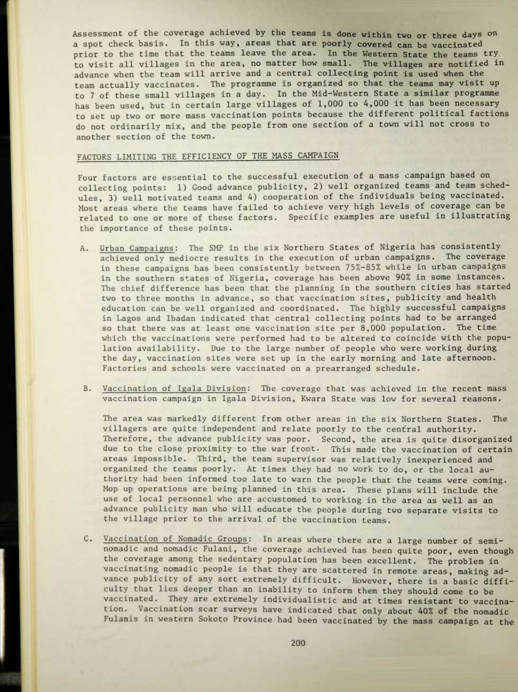Assessment of the coverage achieved by the teams is done within two or three days on a spot check basis. In this way, areas that are poorly covered can be vaccinated prior to the time that the teams leave the area. In the Western State the teams try to visit all villages in the area, no matter how small. The villages are notified in advance when the team will arrive and a central collecting point is used when the team actually vaccinates. The programme is organized so that the teams may visit up to 7 of these small villages in a day . In the Mid-Western State a similar programme has been used, but in certain large villages of 1,000 to 4,000 it has been necessary to set up two or more mass vaccination points because the different political factions do not ordinarily mix, and the people from one section of a town will not cross to another section of the town.

#### FACTORS LIMITING THE EFFICIENCY OF THE MASS CAMPAIGN

Four factors are essential to the successful execution of a mass campaign based on collecting points: 1) Good advance publicity, 2) well organized teams and team schedules, 3) well motivated teams and 4) cooperation of the individuals being vaccinated. Most areas where the teams have failed to achieve very high levels of coverage can be related to one or more of these factors. Specific examples are useful in illustrating the importance of these points.

- A. Urban Campaigns: The SMP in the six Northern States of Nigeria has consistently achieved only mediocre results in the execution of urban campaigns. The coverage in these campaigns has been consistently between 75%-85% while in urban campaigns in the southern states of Nigeria, coverage has been above 90% in some instances. The chief difference has been that the planning in the southern cities has started two to three months in advance, so that vaccination sites, publicity and health education can be well organized and coordinated. The highly successful campaigns in Lagos and Ibadan indicated that central collecting points had to be arranged so that there was at least one vaccination site per  $8,000$  population. The time which the vaccinations were performed had to be altered to coincide with the population availability. Due to the large number of people who were working during the day, vaccination sites were set up in the early morning and late afternoon. Factories and schools were vaccinated on a prearranged schedule.
- B. Vaccination of Igala Division: The coverage that was achieved in the recent mass vaccination campaign in Igala Division, Kwara State was low for several reasons.

The area was markedly different from other areas in the six Northern States. The villagers are quite independent and relate poorly to the central authority. Therefore, the advance publicity was poor. Second, the area is quite disorganized due to the close proximity to the war front. This made the vaccination of certain areas impossible. Third, the team supervisor was relatively inexperienced and organized the teams poorly. At times they had no work to do, or the local authority had been informed too late to warn the people that the teams were coming. Mop up operations are being planned in this area. These plans will include the use of local personnel who are accustomed to working in the area as well as an advance publicity man who will educate the people during two separate visits to the village prior to the arrival of the vaccination teams.

C. Vaccination of Nomadic Groups: In areas where there are a large number of seminomadic and nomadic Fulani, the coverage achieved has been quite poor, even though the coverage among the sedentary population has been excellent. The problem in vaccinating nomadic people is that they are scattered in remote areas, making advance publicity of any sort extremely difficult. However, there is a basic difficulty that lies deeper than an inability to inform them they should come to be vaccinated. They are extremely individualistic and at times resistant to vaccination. Vaccination scar surveys have indicated that only about 40% of the nomadic Fulanis in western Sokoto Province had been vaccinated by the mass campaign at the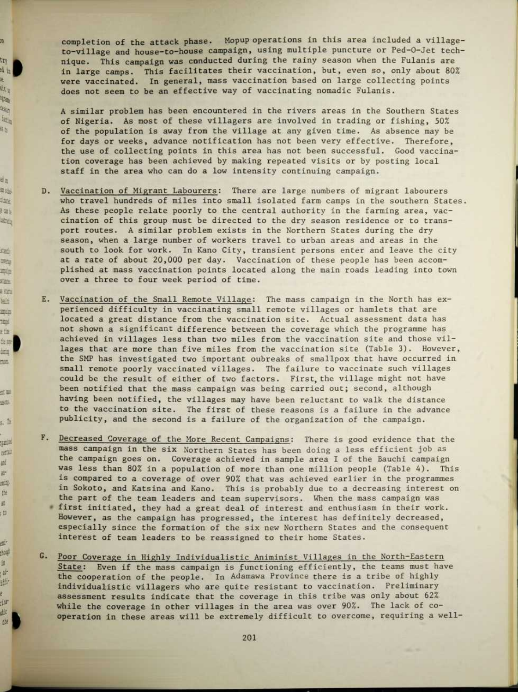completion of the attack phase. Mopup operations in this area included a villageto-village and house-to-house campaign, using multiple puncture or Ped-O-Jet technique. This campaign was conducted during the rainy season when the Fulanis are in large camps. This facilitates their vaccination, but, even so, only about 80% were vaccinated. In general, mass vaccination based on large collecting points does not seem to be an effective way of vaccinating nomadic Fulanis.

jt.

try 山 æ. u tir W.  $\log_{10}$ 电区

ab. 海路 tlang.  $\pm 0.1$ share

stad mea Ale stare  $-521$ 墓 三 14pt e the i 故神 daring nut.

出出 46 5. P

**Hillip** certain ai. 世 ening 世 妥 tO.

ait choup in  $\omega$ 世 g. dur. dic  $cb2$  A similar problem has been encountered in the rivers areas in the Southern States of Nigeria. As most of these villagers are involved in trading or fishing, 50% of the population is away from the village at any given time. As absence may be for days or weeks, advance notification has not been very effective. Therefore, the use of collecting points in this area has not been successful. Good vaccination coverage has been achieved by making repeated visits or by posting local staff in the area who can do a low intensity continuing campaign.

- D. Vaccination of Migrant Labourers: There are large numbers of migrant labourers who travel hundreds of miles into small isolated farm camps in the southern States. As these people relate poorly to the central authority in the farming area, vaccination of this group must be directed to the dry season residence or to transport routes . A similar problem exists in the Northern States during the dry season, when a large number of workers travel to urban areas and areas in the south to look for work. In Kano City, transient persons enter and leave the city at a rate of about 20,000 per day. Vaccination of these people has been accomplished at mass vaccination points located along the main roads leading into town over a three to four week period of time.
- E. Vaccination of the Small Remote Village: The mass campaign in the North has experienced difficulty in vaccinating small remote villages or hamlets that are located a great distance from the vaccination site. Actual assessment data has not shown a significant difference between the coverage which the programme has achieved in villages less than two miles from the vaccination site and those villages that are more than five miles from the vaccination site (Table 3). However, the SMP has investigated two important oubreaks of smallpox that have occurred in small remote poorly vaccinated villages. The failure to vaccinate such villages could be the result of either of two factors. First, the village might not have been notified that the mass campaign was being carried out; second, although having been notified, the villages may have been reluctant to walk the distance to the vaccination site. The first of these reasons is a failure in the advance publicity, and the second is a failure of the organization of the campaign.
- F. Decreased Coverage of the More Recent Campaigns: There is good evidence that the mass campaign in the six Northern States has been doing a less efficient job as the campaign goes on. Coverage achieved in sample area I of the Bauchi campaign was less than 80% in a population of more than one million people (Table 4). This is compared to a coverage of over 90% that was achieved earlier in the programmes in Sokoto, and Katsina and Kano. This is probably due to a decreasing interest on the part of the team leaders and team supervisors. When the mass campaign was • first initiated, they had a great deal of interest and enthusiasm in their work. However, as the campaign has progressed, the interest has definitely decreased, especially since the formation of the six new Northern States and the consequent interest of team leaders to be reassigned to their home States.
- G. Poor Coverage in Highly Individualistic Animinist Villages in the North-Eastern State: Even if the mass campaign is functioning efficiently, the teams must have the cooperation of the people. In Adamawa Province there is a tribe of highly individualistic villagers who are quite resistant to vaccination . Preliminary assessment results indicate that the coverage in this tribe was only about 62% while the coverage in other villages in the area was over 90% . The lack of cooperation in these areas will be extremely difficult to overcome, requiring a well-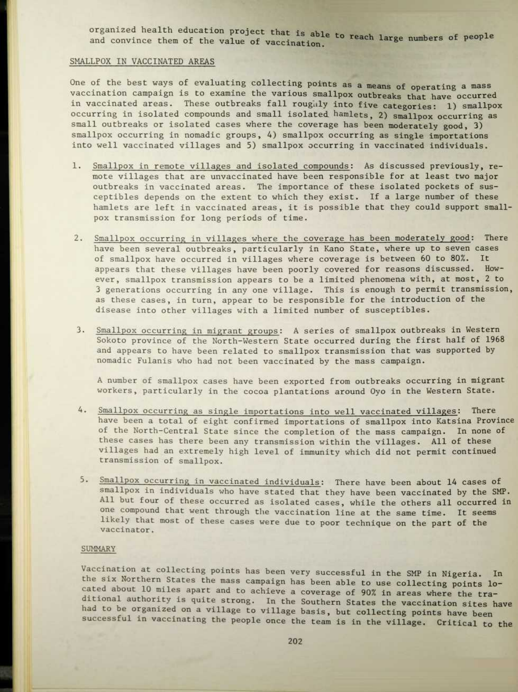organized health education project that is able to reach large numbers of people and convince them of the value of vaccination.

## SMALLPOX IN VACCINATED AREAS

One of the best ways of evaluating collecting points as a means of operating a mass vaccination campaign is to examine the various smallpox outbreaks that have occurred in vaccinated areas. These outbreaks fall roughly into five categories: 1) smallpox occurring in isolated compounds and small isolated hamlets, 2) smallpox occurring as small outbreaks or isolated cases where the coverage has been moderately good, 3) smallpox occurring in nomadic groups, 4) smallpox occurring as single importations into well vaccinated villages and 5) smallpox occurring in vaccinated individuals.

- 1. Smallpox in remote villages and isolated compounds: As discussed previously, remote villages that are unvaccinated have been responsible for at least two major outbreaks in vaccinated areas. The importance of these isolated pockets of susceptibles depends on the extent to which they exist . If a large number of these hamlets are left in vaccinated areas, it is possible that they could support smallpox transmission for long periods of time.
- 2. Smallpox occurring in villages where the coverage has been moderately good: There have been several outbreaks, particularly in Kano State, where up to seven cases of smallpox have occurred in villages where coverage is between 60 to 80% . It appears that these villages have been poorly covered for reasons discussed. However, smallpox transmission appears to be a limited phenomena with, at most, 2 to 3 generations occurring in any one village. This is enough to permit transmission, as these cases, in turn, appear to be responsible for the introduction of the disease into other villages with a limited number of susceptibles.
- 3. Smallpox occurring in migrant groups: A series of smallpox outbreaks in Western Sokoto province of the North-Western State occurred during the first half of 1968 and appears to have been related to smallpox transmission that was supported by nomadic Fulanis who had not been vaccinated by the mass campaign.

A number of smallpox cases have been exported from outbreaks occurring in migrant workers, particularly in the cocoa plantations around Oyo in the Western State.

- 4. Smallpox occurring as single importations into well vaccinated villages: There have been a total of eight confirmed importations of smallpox into Katsina Province of the North-Central State since the completion of the mass campaign. In none of these cases has there been any transmission within the villages. All of these villages had an extremely high level of immunity which did not permit continued transmission of smallpox.
- 5. Smallpox occurring in vaccinated individuals: There have been about 14 cases of smallpox in individuals who have stated that they have been vaccinated by the SMP. All but four of these occurred as isolated cases, while the others all occurred in one compound that went through the vaccination line at the same time. It seems likely that most of these cases were due to poor technique on the part of the vaccinator.

#### SUMMARY

Vaccination at collecting points has been very successful in the SMP in Nigeria. In the six Northern States the mass campaign has been able to use collecting points located about 10 miles apart and to achieve a coverage of 90% in areas where the traditional authority is quite strong. In the Southern States the vaccination sites have had to be organized on a village to village basis, but collecting points have been successful in vaccinating the people once the team is in the village. Critical to the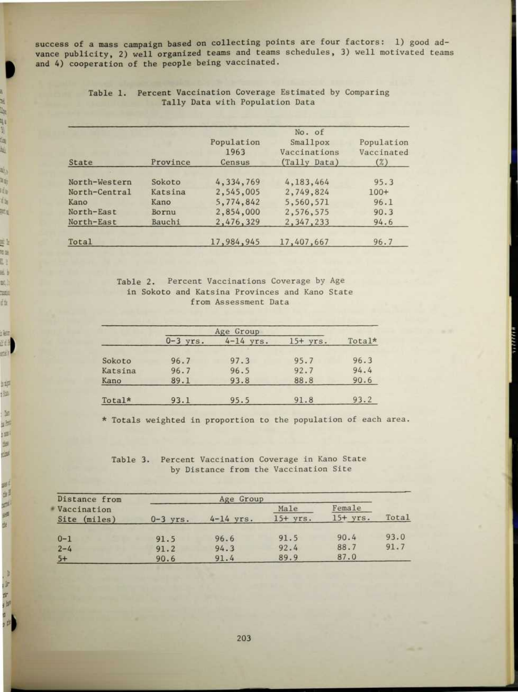success of a mass campaign based on collecting points are four factors: 1) good advance publicity, 2) well organized teams and teams schedules, 3) well motivated teams and 4) cooperation of the people being vaccinated.

| State         | Province | Population<br>1963<br>Census | No. of<br>Smallpox<br>Vaccinations<br>(Tally Data) | Population<br>Vaccinated<br>(%) |
|---------------|----------|------------------------------|----------------------------------------------------|---------------------------------|
| North-Western | Sokoto   | 4,334,769                    | 4,183,464                                          | 95.3                            |
| North-Central | Katsina  | 2,545,005                    | 2,749,824                                          | $100+$                          |
| Kano          | Kano     | 5,774,842                    | 5,560,571                                          | 96.1                            |
| North-East    | Bornu    | 2,854,000                    | 2,576,575                                          | 90.3                            |
| North-East    | Bauchi   | 2,476,329                    | 2,347,233                                          | 94.6                            |
| Total         |          | 17,984,945                   | 17,407,667                                         | 96.7                            |

# Table 1. Percent Vaccination Coverage Estimated by Comparing Tally Data with Population Data

1, 瑚 Un. 41 N) th. 埏

Ц, 26. 晴  $t_{\infty}$ me

보노 es. L) m b 联(h mia 让

ie: 明朝 zu.

bip. 弹 坚 udz im: 湖 山羊

三世 **ATA** 脚 龅

 $\mathbb{R}$ 计理 , br o 山

# Table 2. Percent Vaccinations Coverage by Age in Sokoto and Katsina Provinces and Kano State from Assessment Data

|         | Age Group  |             |            |        |
|---------|------------|-------------|------------|--------|
|         | $0-3$ yrs. | $4-14$ yrs. | $15+$ yrs. | Total* |
| Sokoto  | 96.7       | 97.3        | 95.7       | 96.3   |
| Katsina | 96.7       | 96.5        | 92.7       | 94.4   |
| Kano    | 89.1       | 93.8        | 88.8       | 90.6   |
| Total*  | 93.1       | 95.5        | 91.8       | 93.2   |

\* Totals weighted in proportion to the population of each area.

## Table 3. Percent Vaccination Coverage in Kano State by Distance from the Vaccination Site

| Distance from | Age Group  |             |            |            |       |
|---------------|------------|-------------|------------|------------|-------|
| Vaccination   |            |             | Male       | Female     |       |
| Site (miles)  | $0-3$ yrs. | $4-14$ yrs. | $15+$ yrs. | $15+$ yrs. | Total |
| $0 - 1$       | 91.5       | 96.6        | 91.5       | 90.4       | 93.0  |
| $2 - 4$       | 91.2       | 94.3        | 92.4       | 88.7       | 91.7  |
| $5+$          | 90.6       | 91.4        | 89.9       | 87.0       |       |